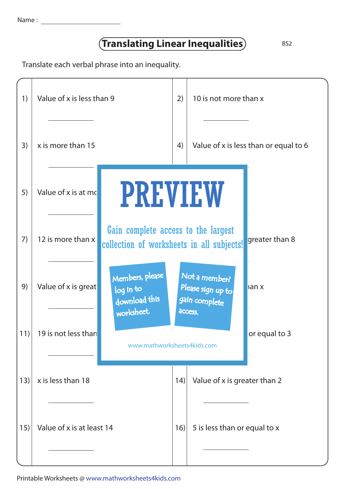| Name |  |
|------|--|
|      |  |

## **Translating Linear Inequalities** BS2

Translate each verbal phrase into an inequality.

| 1)  | Value of x is less than 9                                                          |                                                                                  | 10 is not more than x                               |                |
|-----|------------------------------------------------------------------------------------|----------------------------------------------------------------------------------|-----------------------------------------------------|----------------|
| 3)  | x is more than 15                                                                  | 4)                                                                               | Value of x is less than or equal to 6               |                |
| 5)  | <b>PREVIEW</b><br>Value of x is at mc                                              |                                                                                  |                                                     |                |
| 7)  | 12 is more than x                                                                  | Gain complete access to the largest<br>collection of worksheets in all subjects! |                                                     | greater than 8 |
| 9)  | Members, please<br>Value of x is great<br>log in to<br>download this<br>worksheet. |                                                                                  | Not a member?<br>Please sign up to<br>gain complete | ian x          |
| 11) | 19 is not less than                                                                | access.<br>www.mathworksheets4kids.com                                           |                                                     | or equal to 3  |
| 13) | x is less than 18                                                                  | Value of x is greater than 2<br>(14)                                             |                                                     |                |
| 15) | Value of x is at least 14                                                          |                                                                                  | 5 is less than or equal to x                        |                |

Printable Worksheets @ www.mathworksheets4kids.com